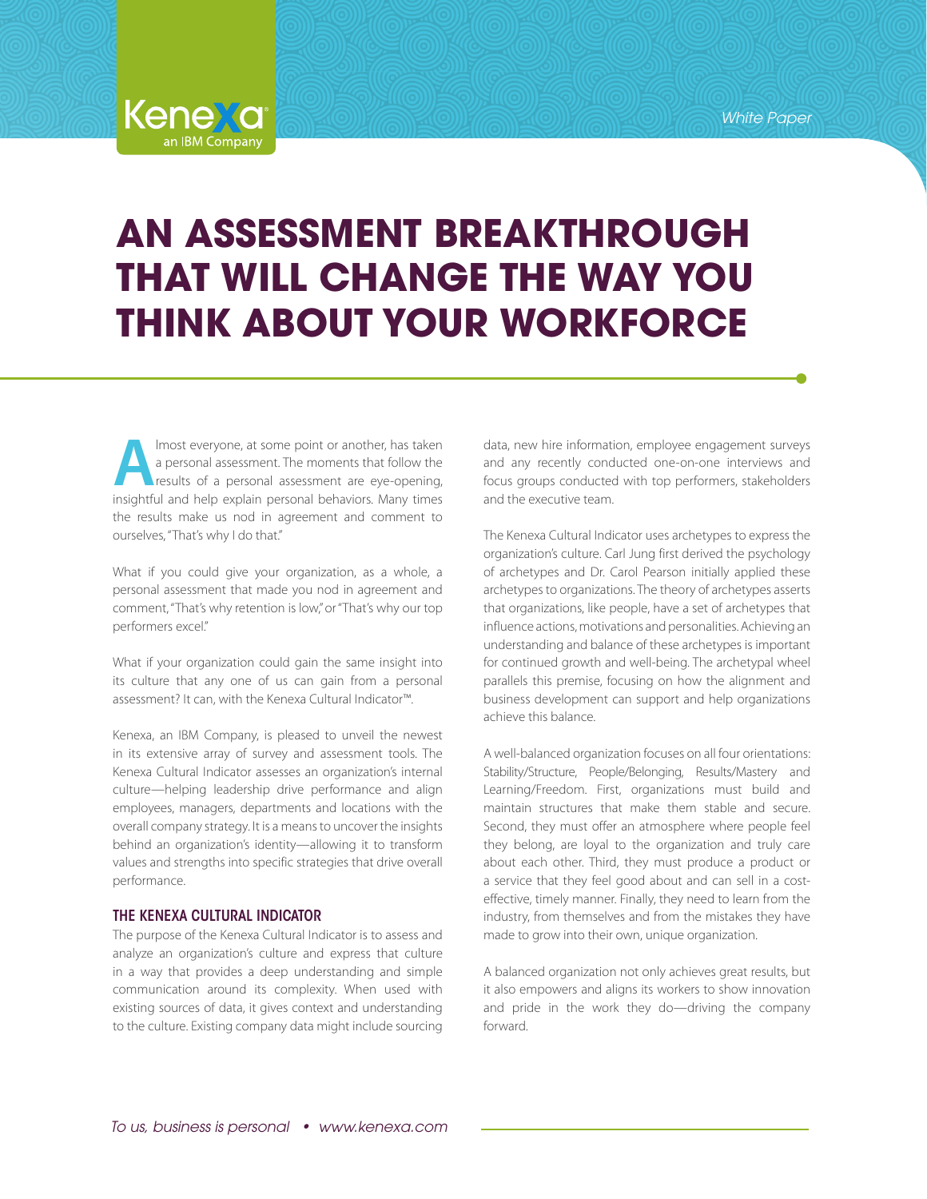*White Paper*

# **AN ASSESSMENT BREAKTHROUGH THAT WILL CHANGE THE WAY YOU THINK ABOUT YOUR WORKFORCE**

**A**lmost everyone, at some point or another, has taken a personal assessment. The moments that follow the results of a personal assessment are eye-opening, insightful and help explain personal behaviors. Many times the results make us nod in agreement and comment to ourselves, "That's why I do that."

**Kenexa** 

What if you could give your organization, as a whole, a personal assessment that made you nod in agreement and comment, "That's why retention is low," or "That's why our top performers excel."

What if your organization could gain the same insight into its culture that any one of us can gain from a personal assessment? It can, with the Kenexa Cultural Indicator™.

Kenexa, an IBM Company, is pleased to unveil the newest in its extensive array of survey and assessment tools. The Kenexa Cultural Indicator assesses an organization's internal culture—helping leadership drive performance and align employees, managers, departments and locations with the overall company strategy. It is a means to uncover the insights behind an organization's identity—allowing it to transform values and strengths into specific strategies that drive overall performance.

## THE KENEXA CULTURAL INDICATOR

The purpose of the Kenexa Cultural Indicator is to assess and analyze an organization's culture and express that culture in a way that provides a deep understanding and simple communication around its complexity. When used with existing sources of data, it gives context and understanding to the culture. Existing company data might include sourcing data, new hire information, employee engagement surveys and any recently conducted one-on-one interviews and focus groups conducted with top performers, stakeholders and the executive team.

The Kenexa Cultural Indicator uses archetypes to express the organization's culture. Carl Jung first derived the psychology of archetypes and Dr. Carol Pearson initially applied these archetypes to organizations. The theory of archetypes asserts that organizations, like people, have a set of archetypes that influence actions, motivations and personalities. Achieving an understanding and balance of these archetypes is important for continued growth and well-being. The archetypal wheel parallels this premise, focusing on how the alignment and business development can support and help organizations achieve this balance.

A well-balanced organization focuses on all four orientations: Stability/Structure, People/Belonging, Results/Mastery and Learning/Freedom. First, organizations must build and maintain structures that make them stable and secure. Second, they must offer an atmosphere where people feel they belong, are loyal to the organization and truly care about each other. Third, they must produce a product or a service that they feel good about and can sell in a costeffective, timely manner. Finally, they need to learn from the industry, from themselves and from the mistakes they have made to grow into their own, unique organization.

A balanced organization not only achieves great results, but it also empowers and aligns its workers to show innovation and pride in the work they do—driving the company forward.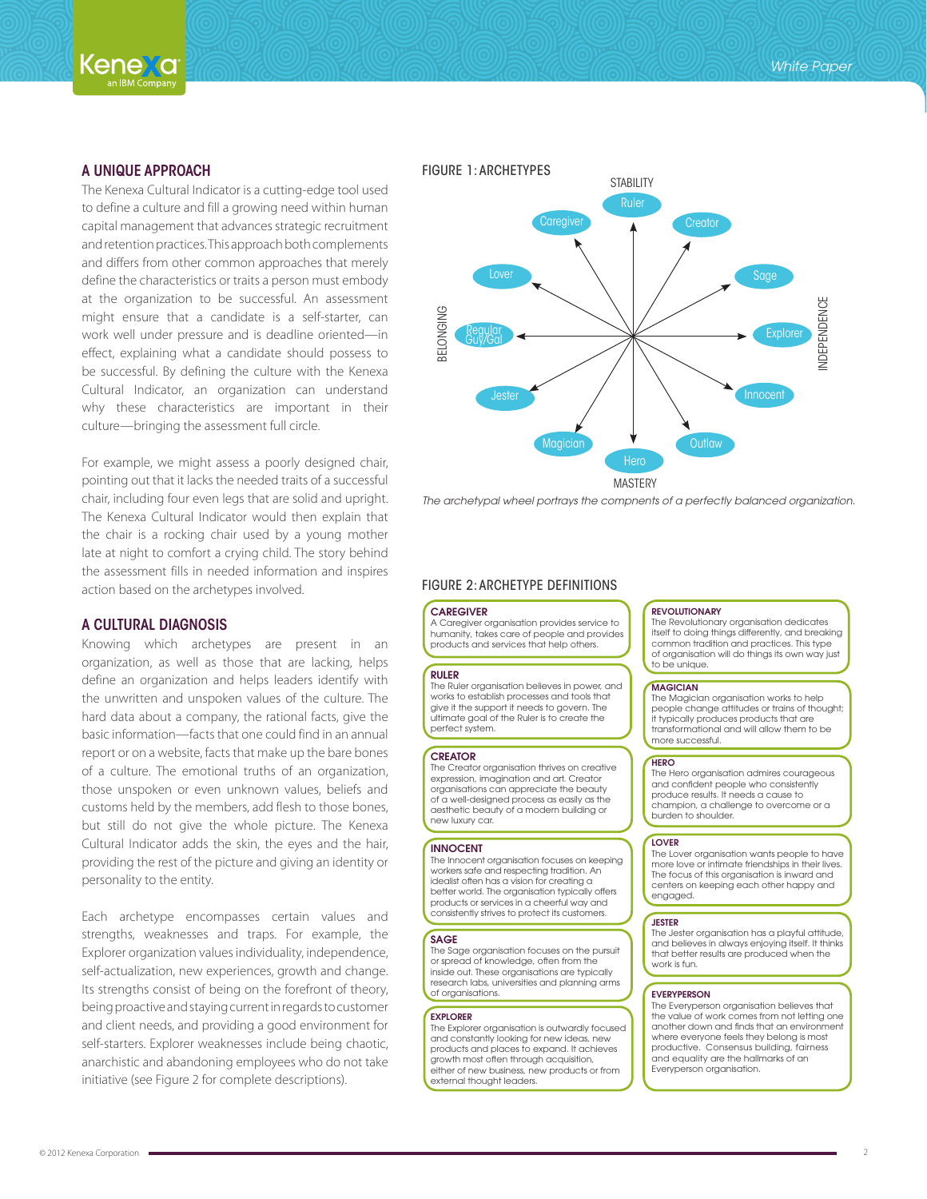

## A UNIQUE APPROACH

The Kenexa Cultural Indicator is a cutting-edge tool used to define a culture and fill a growing need within human capital management that advances strategic recruitment and retention practices. This approach both complements and differs from other common approaches that merely define the characteristics or traits a person must embody at the organization to be successful. An assessment might ensure that a candidate is a self-starter, can work well under pressure and is deadline oriented—in effect, explaining what a candidate should possess to be successful. By defining the culture with the Kenexa Cultural Indicator, an organization can understand why these characteristics are important in their culture—bringing the assessment full circle.

For example, we might assess a poorly designed chair, pointing out that it lacks the needed traits of a successful chair, including four even legs that are solid and upright. The Kenexa Cultural Indicator would then explain that the chair is a rocking chair used by a young mother late at night to comfort a crying child. The story behind the assessment fills in needed information and inspires action based on the archetypes involved.

# A CULTURAL DIAGNOSIS

Knowing which archetypes are present in an organization, as well as those that are lacking, helps define an organization and helps leaders identify with the unwritten and unspoken values of the culture. The hard data about a company, the rational facts, give the basic information—facts that one could find in an annual report or on a website, facts that make up the bare bones of a culture. The emotional truths of an organization, those unspoken or even unknown values, beliefs and customs held by the members, add flesh to those bones, but still do not give the whole picture. The Kenexa Cultural Indicator adds the skin, the eyes and the hair, providing the rest of the picture and giving an identity or personality to the entity.

Each archetype encompasses certain values and strengths, weaknesses and traps. For example, the Explorer organization values individuality, independence, self-actualization, new experiences, growth and change. Its strengths consist of being on the forefront of theory, being proactive and staying current in regards to customer and client needs, and providing a good environment for self-starters. Explorer weaknesses include being chaotic, anarchistic and abandoning employees who do not take initiative (see Figure 2 for complete descriptions).



### FIGURE 2: ARCHETYPE DEFINITIONS

#### **CAREGIVER**

A Caregiver organisation provides service to humanity, takes care of people and provides products and services that help others.

#### RULER

The Ruler organisation believes in power, and works to establish processes and tools that give it the support it needs to govern. The ultimate goal of the Ruler is to create the perfect system.

#### **CREATOR**

The Creator organisation thrives on creative expression, imagination and art. Creator organisations can appreciate the beauty of a well-designed process as easily as the aesthetic beauty of a modern building or new luxury car.

#### INNOCENT

The Innocent organisation focuses on keeping workers safe and respecting tradition. An idealist often has a vision for creating a better world. The organisation typically offers products or services in a cheerful way and consistently strives to protect its customers.

#### **SAGE**

The Sage organisation focuses on the pursuit or spread of knowledge, often from the inside out. These organisations are typically research labs, universities and planning arms of organisations.

#### EXPLORER

The Explorer organisation is outwardly focused and constantly looking for new ideas, new products and places to expand. It achieves growth most often through acquisition, either of new business, new products or from external thought leaders.

#### **REVOLUTIONARY**

The Revolutionary organisation dedicates itself to doing things differently, and breaking common tradition and practices. This type of organisation will do things its own way just to be unique.

#### MAGICIAN

The Magician organisation works to help people change attitudes or trains of thought; it typically produces products that are transformational and will allow them to be more successful.

#### **HERO**

The Hero organisation admires courageous and confident people who consistently produce results. It needs a cause to champion, a challenge to overcome or a burden to shoulder.

#### **LOVER**

The Lover organisation wants people to have more love or intimate friendships in their lives. The focus of this organisation is inward and centers on keeping each other happy and engaged.

#### **JESTER**

The Jester organisation has a playful attitude, and believes in always enjoying itself. It thinks that better results are produced when the work is fun.

#### **EVERYPERSON**

The Everyperson organisation believes that the value of work comes from not letting one another down and finds that an environment where everyone feels they belong is most productive. Consensus building, fairness and equality are the hallmarks of an Everyperson organisation.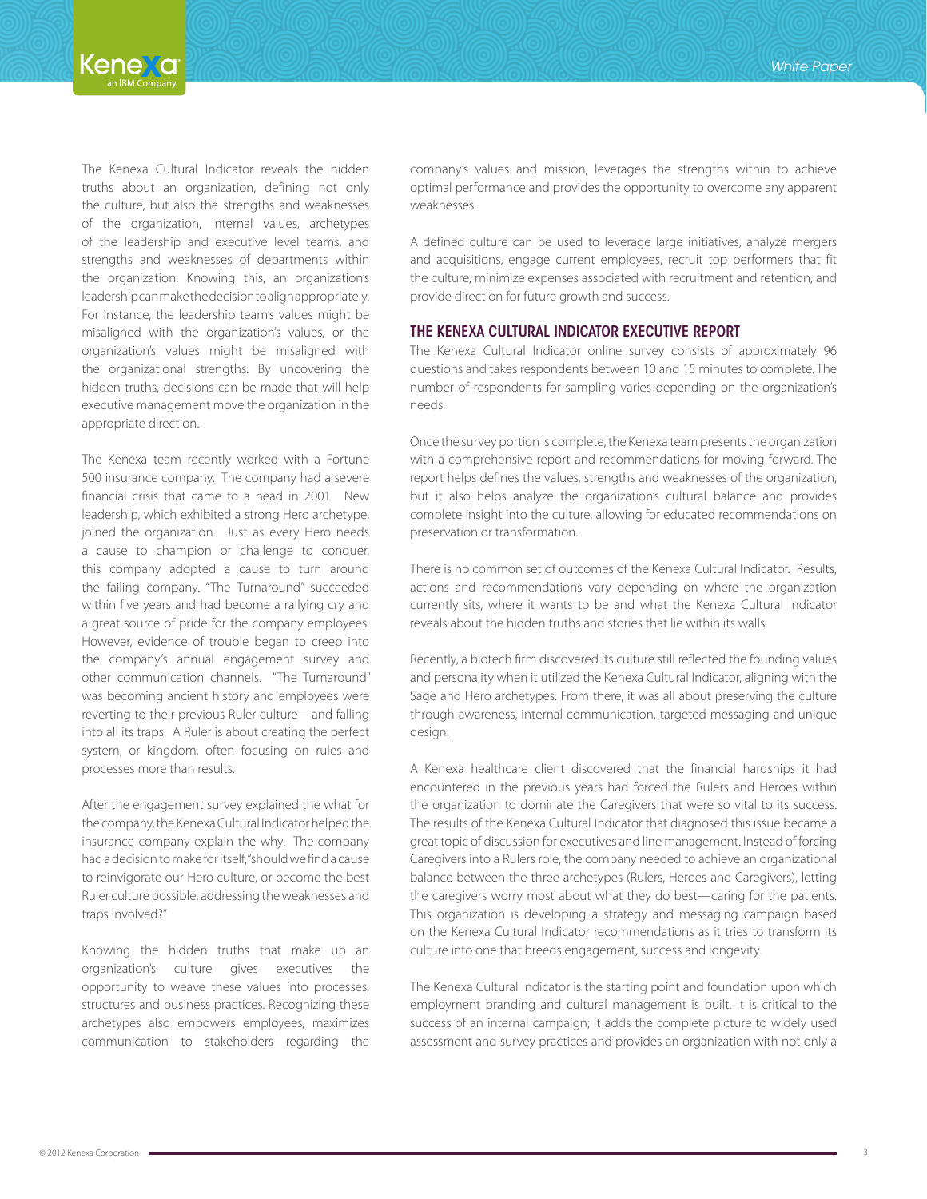The Kenexa Cultural Indicator reveals the hidden truths about an organization, defining not only the culture, but also the strengths and weaknesses of the organization, internal values, archetypes of the leadership and executive level teams, and strengths and weaknesses of departments within the organization. Knowing this, an organization's leadership can make the decision to align appropriately. For instance, the leadership team's values might be misaligned with the organization's values, or the organization's values might be misaligned with the organizational strengths. By uncovering the hidden truths, decisions can be made that will help executive management move the organization in the appropriate direction.

The Kenexa team recently worked with a Fortune 500 insurance company. The company had a severe financial crisis that came to a head in 2001. New leadership, which exhibited a strong Hero archetype, joined the organization. Just as every Hero needs a cause to champion or challenge to conquer, this company adopted a cause to turn around the failing company. "The Turnaround" succeeded within five years and had become a rallying cry and a great source of pride for the company employees. However, evidence of trouble began to creep into the company's annual engagement survey and other communication channels. "The Turnaround" was becoming ancient history and employees were reverting to their previous Ruler culture—and falling into all its traps. A Ruler is about creating the perfect system, or kingdom, often focusing on rules and processes more than results.

After the engagement survey explained the what for the company, the Kenexa Cultural Indicator helped the insurance company explain the why. The company had a decision to make for itself, "should we find a cause to reinvigorate our Hero culture, or become the best Ruler culture possible, addressing the weaknesses and traps involved?"

Knowing the hidden truths that make up an organization's culture gives executives the opportunity to weave these values into processes, structures and business practices. Recognizing these archetypes also empowers employees, maximizes communication to stakeholders regarding the company's values and mission, leverages the strengths within to achieve optimal performance and provides the opportunity to overcome any apparent weaknesses.

A defined culture can be used to leverage large initiatives, analyze mergers and acquisitions, engage current employees, recruit top performers that fit the culture, minimize expenses associated with recruitment and retention, and provide direction for future growth and success.

## THE KENEXA CULTURAL INDICATOR EXECUTIVE REPORT

The Kenexa Cultural Indicator online survey consists of approximately 96 questions and takes respondents between 10 and 15 minutes to complete. The number of respondents for sampling varies depending on the organization's needs.

Once the survey portion is complete, the Kenexa team presents the organization with a comprehensive report and recommendations for moving forward. The report helps defines the values, strengths and weaknesses of the organization, but it also helps analyze the organization's cultural balance and provides complete insight into the culture, allowing for educated recommendations on preservation or transformation.

There is no common set of outcomes of the Kenexa Cultural Indicator. Results, actions and recommendations vary depending on where the organization currently sits, where it wants to be and what the Kenexa Cultural Indicator reveals about the hidden truths and stories that lie within its walls.

Recently, a biotech firm discovered its culture still reflected the founding values and personality when it utilized the Kenexa Cultural Indicator, aligning with the Sage and Hero archetypes. From there, it was all about preserving the culture through awareness, internal communication, targeted messaging and unique design.

A Kenexa healthcare client discovered that the financial hardships it had encountered in the previous years had forced the Rulers and Heroes within the organization to dominate the Caregivers that were so vital to its success. The results of the Kenexa Cultural Indicator that diagnosed this issue became a great topic of discussion for executives and line management. Instead of forcing Caregivers into a Rulers role, the company needed to achieve an organizational balance between the three archetypes (Rulers, Heroes and Caregivers), letting the caregivers worry most about what they do best—caring for the patients. This organization is developing a strategy and messaging campaign based on the Kenexa Cultural Indicator recommendations as it tries to transform its culture into one that breeds engagement, success and longevity.

The Kenexa Cultural Indicator is the starting point and foundation upon which employment branding and cultural management is built. It is critical to the success of an internal campaign; it adds the complete picture to widely used assessment and survey practices and provides an organization with not only a